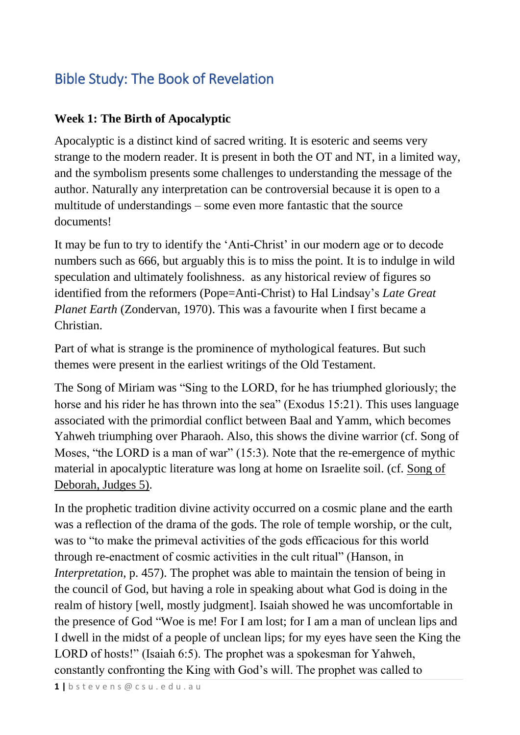# Bible Study: The Book of Revelation

# **Week 1: The Birth of Apocalyptic**

Apocalyptic is a distinct kind of sacred writing. It is esoteric and seems very strange to the modern reader. It is present in both the OT and NT, in a limited way, and the symbolism presents some challenges to understanding the message of the author. Naturally any interpretation can be controversial because it is open to a multitude of understandings – some even more fantastic that the source documents!

It may be fun to try to identify the 'Anti-Christ' in our modern age or to decode numbers such as 666, but arguably this is to miss the point. It is to indulge in wild speculation and ultimately foolishness. as any historical review of figures so identified from the reformers (Pope=Anti-Christ) to Hal Lindsay's *Late Great Planet Earth* (Zondervan, 1970). This was a favourite when I first became a Christian.

Part of what is strange is the prominence of mythological features. But such themes were present in the earliest writings of the Old Testament.

The Song of Miriam was "Sing to the LORD, for he has triumphed gloriously; the horse and his rider he has thrown into the sea" (Exodus 15:21). This uses language associated with the primordial conflict between Baal and Yamm, which becomes Yahweh triumphing over Pharaoh. Also, this shows the divine warrior (cf. Song of Moses, "the LORD is a man of war" (15:3). Note that the re-emergence of mythic material in apocalyptic literature was long at home on Israelite soil. (cf. Song of Deborah, Judges 5).

In the prophetic tradition divine activity occurred on a cosmic plane and the earth was a reflection of the drama of the gods. The role of temple worship, or the cult, was to "to make the primeval activities of the gods efficacious for this world through re-enactment of cosmic activities in the cult ritual" (Hanson, in *Interpretation*, p. 457). The prophet was able to maintain the tension of being in the council of God, but having a role in speaking about what God is doing in the realm of history [well, mostly judgment]. Isaiah showed he was uncomfortable in the presence of God "Woe is me! For I am lost; for I am a man of unclean lips and I dwell in the midst of a people of unclean lips; for my eyes have seen the King the LORD of hosts!" (Isaiah 6:5). The prophet was a spokesman for Yahweh, constantly confronting the King with God's will. The prophet was called to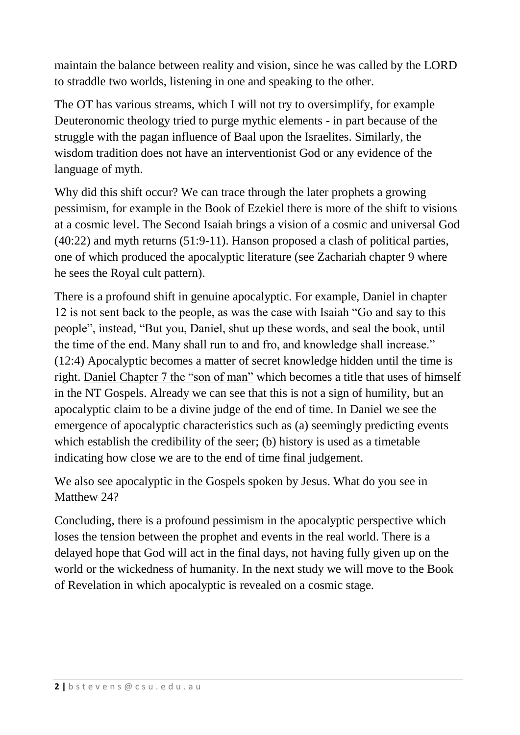maintain the balance between reality and vision, since he was called by the LORD to straddle two worlds, listening in one and speaking to the other.

The OT has various streams, which I will not try to oversimplify, for example Deuteronomic theology tried to purge mythic elements - in part because of the struggle with the pagan influence of Baal upon the Israelites. Similarly, the wisdom tradition does not have an interventionist God or any evidence of the language of myth.

Why did this shift occur? We can trace through the later prophets a growing pessimism, for example in the Book of Ezekiel there is more of the shift to visions at a cosmic level. The Second Isaiah brings a vision of a cosmic and universal God (40:22) and myth returns (51:9-11). Hanson proposed a clash of political parties, one of which produced the apocalyptic literature (see Zachariah chapter 9 where he sees the Royal cult pattern).

There is a profound shift in genuine apocalyptic. For example, Daniel in chapter 12 is not sent back to the people, as was the case with Isaiah "Go and say to this people", instead, "But you, Daniel, shut up these words, and seal the book, until the time of the end. Many shall run to and fro, and knowledge shall increase." (12:4) Apocalyptic becomes a matter of secret knowledge hidden until the time is right. Daniel Chapter 7 the "son of man" which becomes a title that uses of himself in the NT Gospels. Already we can see that this is not a sign of humility, but an apocalyptic claim to be a divine judge of the end of time. In Daniel we see the emergence of apocalyptic characteristics such as (a) seemingly predicting events which establish the credibility of the seer; (b) history is used as a timetable indicating how close we are to the end of time final judgement.

We also see apocalyptic in the Gospels spoken by Jesus. What do you see in Matthew 24?

Concluding, there is a profound pessimism in the apocalyptic perspective which loses the tension between the prophet and events in the real world. There is a delayed hope that God will act in the final days, not having fully given up on the world or the wickedness of humanity. In the next study we will move to the Book of Revelation in which apocalyptic is revealed on a cosmic stage.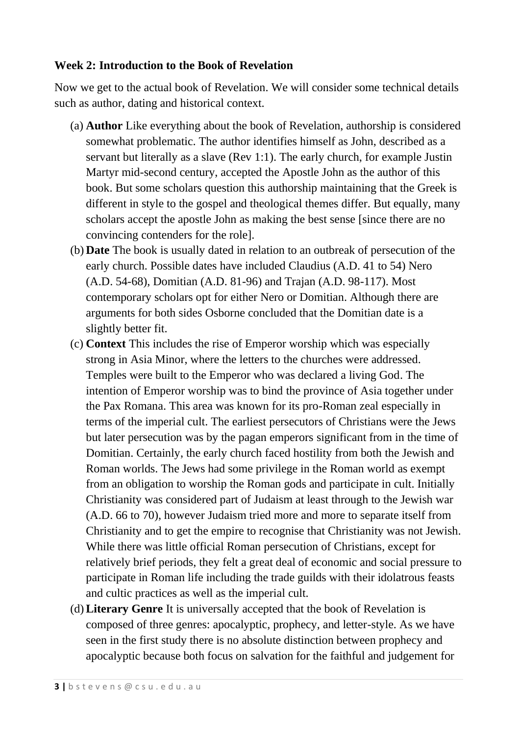#### **Week 2: Introduction to the Book of Revelation**

Now we get to the actual book of Revelation. We will consider some technical details such as author, dating and historical context.

- (a) **Author** Like everything about the book of Revelation, authorship is considered somewhat problematic. The author identifies himself as John, described as a servant but literally as a slave (Rev 1:1). The early church, for example Justin Martyr mid-second century, accepted the Apostle John as the author of this book. But some scholars question this authorship maintaining that the Greek is different in style to the gospel and theological themes differ. But equally, many scholars accept the apostle John as making the best sense [since there are no convincing contenders for the role].
- (b) **Date** The book is usually dated in relation to an outbreak of persecution of the early church. Possible dates have included Claudius (A.D. 41 to 54) Nero (A.D. 54-68), Domitian (A.D. 81-96) and Trajan (A.D. 98-117). Most contemporary scholars opt for either Nero or Domitian. Although there are arguments for both sides Osborne concluded that the Domitian date is a slightly better fit.
- (c) **Context** This includes the rise of Emperor worship which was especially strong in Asia Minor, where the letters to the churches were addressed. Temples were built to the Emperor who was declared a living God. The intention of Emperor worship was to bind the province of Asia together under the Pax Romana. This area was known for its pro-Roman zeal especially in terms of the imperial cult. The earliest persecutors of Christians were the Jews but later persecution was by the pagan emperors significant from in the time of Domitian. Certainly, the early church faced hostility from both the Jewish and Roman worlds. The Jews had some privilege in the Roman world as exempt from an obligation to worship the Roman gods and participate in cult. Initially Christianity was considered part of Judaism at least through to the Jewish war (A.D. 66 to 70), however Judaism tried more and more to separate itself from Christianity and to get the empire to recognise that Christianity was not Jewish. While there was little official Roman persecution of Christians, except for relatively brief periods, they felt a great deal of economic and social pressure to participate in Roman life including the trade guilds with their idolatrous feasts and cultic practices as well as the imperial cult.
- (d)**Literary Genre** It is universally accepted that the book of Revelation is composed of three genres: apocalyptic, prophecy, and letter-style. As we have seen in the first study there is no absolute distinction between prophecy and apocalyptic because both focus on salvation for the faithful and judgement for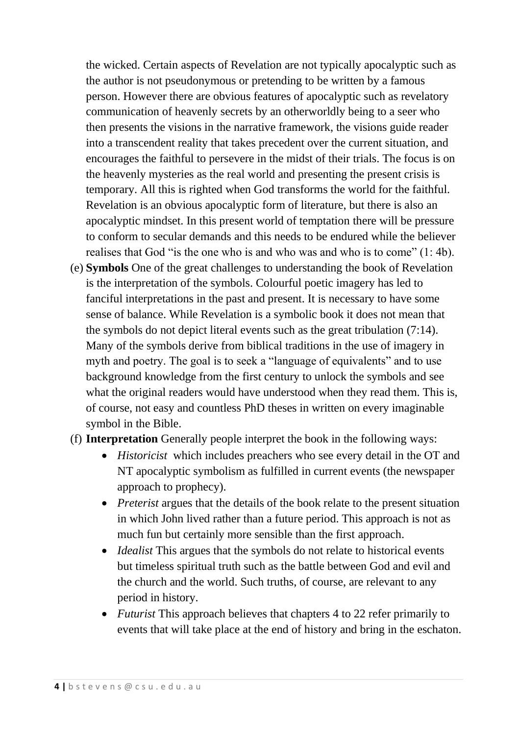the wicked. Certain aspects of Revelation are not typically apocalyptic such as the author is not pseudonymous or pretending to be written by a famous person. However there are obvious features of apocalyptic such as revelatory communication of heavenly secrets by an otherworldly being to a seer who then presents the visions in the narrative framework, the visions guide reader into a transcendent reality that takes precedent over the current situation, and encourages the faithful to persevere in the midst of their trials. The focus is on the heavenly mysteries as the real world and presenting the present crisis is temporary. All this is righted when God transforms the world for the faithful. Revelation is an obvious apocalyptic form of literature, but there is also an apocalyptic mindset. In this present world of temptation there will be pressure to conform to secular demands and this needs to be endured while the believer realises that God "is the one who is and who was and who is to come" (1: 4b).

- (e) **Symbols** One of the great challenges to understanding the book of Revelation is the interpretation of the symbols. Colourful poetic imagery has led to fanciful interpretations in the past and present. It is necessary to have some sense of balance. While Revelation is a symbolic book it does not mean that the symbols do not depict literal events such as the great tribulation (7:14). Many of the symbols derive from biblical traditions in the use of imagery in myth and poetry. The goal is to seek a "language of equivalents" and to use background knowledge from the first century to unlock the symbols and see what the original readers would have understood when they read them. This is, of course, not easy and countless PhD theses in written on every imaginable symbol in the Bible.
- (f) **Interpretation** Generally people interpret the book in the following ways:
	- *Historicist* which includes preachers who see every detail in the OT and NT apocalyptic symbolism as fulfilled in current events (the newspaper approach to prophecy).
	- *Preterist* argues that the details of the book relate to the present situation in which John lived rather than a future period. This approach is not as much fun but certainly more sensible than the first approach.
	- *Idealist* This argues that the symbols do not relate to historical events but timeless spiritual truth such as the battle between God and evil and the church and the world. Such truths, of course, are relevant to any period in history.
	- *Futurist* This approach believes that chapters 4 to 22 refer primarily to events that will take place at the end of history and bring in the eschaton.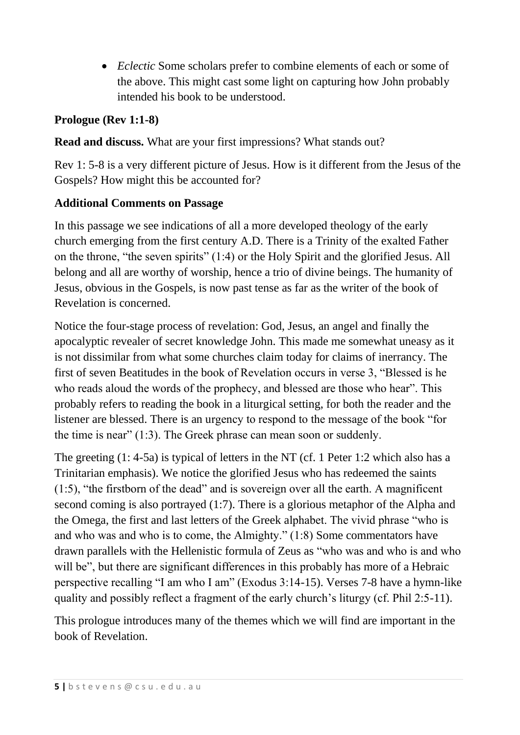*Eclectic* Some scholars prefer to combine elements of each or some of the above. This might cast some light on capturing how John probably intended his book to be understood.

#### **Prologue (Rev 1:1-8)**

**Read and discuss.** What are your first impressions? What stands out?

Rev 1: 5-8 is a very different picture of Jesus. How is it different from the Jesus of the Gospels? How might this be accounted for?

#### **Additional Comments on Passage**

In this passage we see indications of all a more developed theology of the early church emerging from the first century A.D. There is a Trinity of the exalted Father on the throne, "the seven spirits" (1:4) or the Holy Spirit and the glorified Jesus. All belong and all are worthy of worship, hence a trio of divine beings. The humanity of Jesus, obvious in the Gospels, is now past tense as far as the writer of the book of Revelation is concerned.

Notice the four-stage process of revelation: God, Jesus, an angel and finally the apocalyptic revealer of secret knowledge John. This made me somewhat uneasy as it is not dissimilar from what some churches claim today for claims of inerrancy. The first of seven Beatitudes in the book of Revelation occurs in verse 3, "Blessed is he who reads aloud the words of the prophecy, and blessed are those who hear". This probably refers to reading the book in a liturgical setting, for both the reader and the listener are blessed. There is an urgency to respond to the message of the book "for the time is near" (1:3). The Greek phrase can mean soon or suddenly.

The greeting (1: 4-5a) is typical of letters in the NT (cf. 1 Peter 1:2 which also has a Trinitarian emphasis). We notice the glorified Jesus who has redeemed the saints (1:5), "the firstborn of the dead" and is sovereign over all the earth. A magnificent second coming is also portrayed (1:7). There is a glorious metaphor of the Alpha and the Omega, the first and last letters of the Greek alphabet. The vivid phrase "who is and who was and who is to come, the Almighty." (1:8) Some commentators have drawn parallels with the Hellenistic formula of Zeus as "who was and who is and who will be", but there are significant differences in this probably has more of a Hebraic perspective recalling "I am who I am" (Exodus 3:14-15). Verses 7-8 have a hymn-like quality and possibly reflect a fragment of the early church's liturgy (cf. Phil 2:5-11).

This prologue introduces many of the themes which we will find are important in the book of Revelation.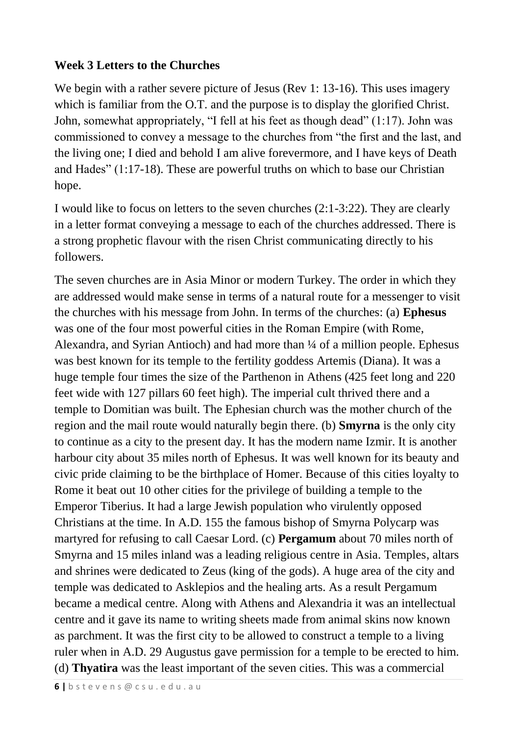#### **Week 3 Letters to the Churches**

We begin with a rather severe picture of Jesus (Rev 1: 13-16). This uses imagery which is familiar from the O.T. and the purpose is to display the glorified Christ. John, somewhat appropriately, "I fell at his feet as though dead" (1:17). John was commissioned to convey a message to the churches from "the first and the last, and the living one; I died and behold I am alive forevermore, and I have keys of Death and Hades" (1:17-18). These are powerful truths on which to base our Christian hope.

I would like to focus on letters to the seven churches (2:1-3:22). They are clearly in a letter format conveying a message to each of the churches addressed. There is a strong prophetic flavour with the risen Christ communicating directly to his followers.

The seven churches are in Asia Minor or modern Turkey. The order in which they are addressed would make sense in terms of a natural route for a messenger to visit the churches with his message from John. In terms of the churches: (a) **Ephesus**  was one of the four most powerful cities in the Roman Empire (with Rome, Alexandra, and Syrian Antioch) and had more than ¼ of a million people. Ephesus was best known for its temple to the fertility goddess Artemis (Diana). It was a huge temple four times the size of the Parthenon in Athens (425 feet long and 220 feet wide with 127 pillars 60 feet high). The imperial cult thrived there and a temple to Domitian was built. The Ephesian church was the mother church of the region and the mail route would naturally begin there. (b) **Smyrna** is the only city to continue as a city to the present day. It has the modern name Izmir. It is another harbour city about 35 miles north of Ephesus. It was well known for its beauty and civic pride claiming to be the birthplace of Homer. Because of this cities loyalty to Rome it beat out 10 other cities for the privilege of building a temple to the Emperor Tiberius. It had a large Jewish population who virulently opposed Christians at the time. In A.D. 155 the famous bishop of Smyrna Polycarp was martyred for refusing to call Caesar Lord. (c) **Pergamum** about 70 miles north of Smyrna and 15 miles inland was a leading religious centre in Asia. Temples, altars and shrines were dedicated to Zeus (king of the gods). A huge area of the city and temple was dedicated to Asklepios and the healing arts. As a result Pergamum became a medical centre. Along with Athens and Alexandria it was an intellectual centre and it gave its name to writing sheets made from animal skins now known as parchment. It was the first city to be allowed to construct a temple to a living ruler when in A.D. 29 Augustus gave permission for a temple to be erected to him. (d) **Thyatira** was the least important of the seven cities. This was a commercial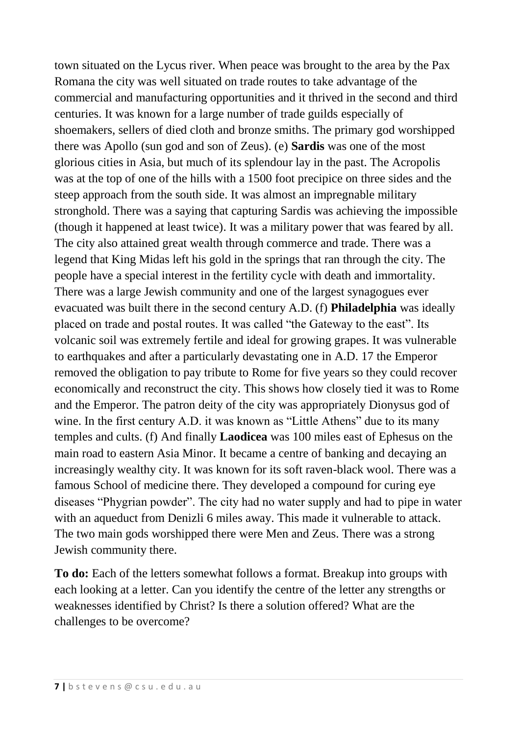town situated on the Lycus river. When peace was brought to the area by the Pax Romana the city was well situated on trade routes to take advantage of the commercial and manufacturing opportunities and it thrived in the second and third centuries. It was known for a large number of trade guilds especially of shoemakers, sellers of died cloth and bronze smiths. The primary god worshipped there was Apollo (sun god and son of Zeus). (e) **Sardis** was one of the most glorious cities in Asia, but much of its splendour lay in the past. The Acropolis was at the top of one of the hills with a 1500 foot precipice on three sides and the steep approach from the south side. It was almost an impregnable military stronghold. There was a saying that capturing Sardis was achieving the impossible (though it happened at least twice). It was a military power that was feared by all. The city also attained great wealth through commerce and trade. There was a legend that King Midas left his gold in the springs that ran through the city. The people have a special interest in the fertility cycle with death and immortality. There was a large Jewish community and one of the largest synagogues ever evacuated was built there in the second century A.D. (f) **Philadelphia** was ideally placed on trade and postal routes. It was called "the Gateway to the east". Its volcanic soil was extremely fertile and ideal for growing grapes. It was vulnerable to earthquakes and after a particularly devastating one in A.D. 17 the Emperor removed the obligation to pay tribute to Rome for five years so they could recover economically and reconstruct the city. This shows how closely tied it was to Rome and the Emperor. The patron deity of the city was appropriately Dionysus god of wine. In the first century A.D. it was known as "Little Athens" due to its many temples and cults. (f) And finally **Laodicea** was 100 miles east of Ephesus on the main road to eastern Asia Minor. It became a centre of banking and decaying an increasingly wealthy city. It was known for its soft raven-black wool. There was a famous School of medicine there. They developed a compound for curing eye diseases "Phygrian powder". The city had no water supply and had to pipe in water with an aqueduct from Denizli 6 miles away. This made it vulnerable to attack. The two main gods worshipped there were Men and Zeus. There was a strong Jewish community there.

**To do:** Each of the letters somewhat follows a format. Breakup into groups with each looking at a letter. Can you identify the centre of the letter any strengths or weaknesses identified by Christ? Is there a solution offered? What are the challenges to be overcome?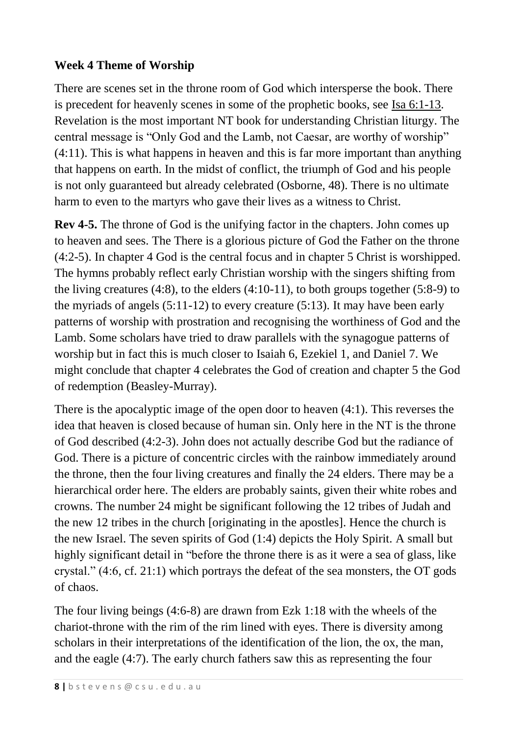# **Week 4 Theme of Worship**

There are scenes set in the throne room of God which intersperse the book. There is precedent for heavenly scenes in some of the prophetic books, see Isa 6:1-13. Revelation is the most important NT book for understanding Christian liturgy. The central message is "Only God and the Lamb, not Caesar, are worthy of worship" (4:11). This is what happens in heaven and this is far more important than anything that happens on earth. In the midst of conflict, the triumph of God and his people is not only guaranteed but already celebrated (Osborne, 48). There is no ultimate harm to even to the martyrs who gave their lives as a witness to Christ.

**Rev 4-5.** The throne of God is the unifying factor in the chapters. John comes up to heaven and sees. The There is a glorious picture of God the Father on the throne (4:2-5). In chapter 4 God is the central focus and in chapter 5 Christ is worshipped. The hymns probably reflect early Christian worship with the singers shifting from the living creatures (4:8), to the elders (4:10-11), to both groups together (5:8-9) to the myriads of angels (5:11-12) to every creature (5:13). It may have been early patterns of worship with prostration and recognising the worthiness of God and the Lamb. Some scholars have tried to draw parallels with the synagogue patterns of worship but in fact this is much closer to Isaiah 6, Ezekiel 1, and Daniel 7. We might conclude that chapter 4 celebrates the God of creation and chapter 5 the God of redemption (Beasley-Murray).

There is the apocalyptic image of the open door to heaven (4:1). This reverses the idea that heaven is closed because of human sin. Only here in the NT is the throne of God described (4:2-3). John does not actually describe God but the radiance of God. There is a picture of concentric circles with the rainbow immediately around the throne, then the four living creatures and finally the 24 elders. There may be a hierarchical order here. The elders are probably saints, given their white robes and crowns. The number 24 might be significant following the 12 tribes of Judah and the new 12 tribes in the church [originating in the apostles]. Hence the church is the new Israel. The seven spirits of God (1:4) depicts the Holy Spirit. A small but highly significant detail in "before the throne there is as it were a sea of glass, like crystal." (4:6, cf. 21:1) which portrays the defeat of the sea monsters, the OT gods of chaos.

The four living beings (4:6-8) are drawn from Ezk 1:18 with the wheels of the chariot-throne with the rim of the rim lined with eyes. There is diversity among scholars in their interpretations of the identification of the lion, the ox, the man, and the eagle (4:7). The early church fathers saw this as representing the four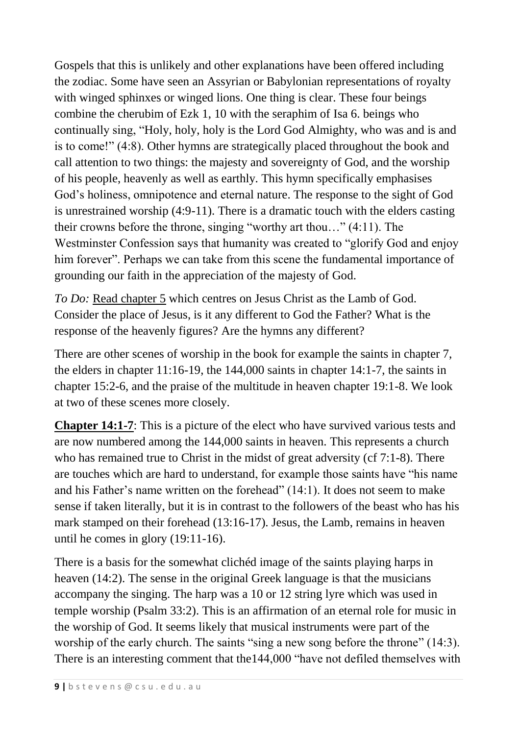Gospels that this is unlikely and other explanations have been offered including the zodiac. Some have seen an Assyrian or Babylonian representations of royalty with winged sphinxes or winged lions. One thing is clear. These four beings combine the cherubim of Ezk 1, 10 with the seraphim of Isa 6. beings who continually sing, "Holy, holy, holy is the Lord God Almighty, who was and is and is to come!" (4:8). Other hymns are strategically placed throughout the book and call attention to two things: the majesty and sovereignty of God, and the worship of his people, heavenly as well as earthly. This hymn specifically emphasises God's holiness, omnipotence and eternal nature. The response to the sight of God is unrestrained worship (4:9-11). There is a dramatic touch with the elders casting their crowns before the throne, singing "worthy art thou…" (4:11). The Westminster Confession says that humanity was created to "glorify God and enjoy him forever". Perhaps we can take from this scene the fundamental importance of grounding our faith in the appreciation of the majesty of God.

*To Do:* Read chapter 5 which centres on Jesus Christ as the Lamb of God. Consider the place of Jesus, is it any different to God the Father? What is the response of the heavenly figures? Are the hymns any different?

There are other scenes of worship in the book for example the saints in chapter 7, the elders in chapter 11:16-19, the 144,000 saints in chapter 14:1-7, the saints in chapter 15:2-6, and the praise of the multitude in heaven chapter 19:1-8. We look at two of these scenes more closely.

**Chapter 14:1-7**: This is a picture of the elect who have survived various tests and are now numbered among the 144,000 saints in heaven. This represents a church who has remained true to Christ in the midst of great adversity (cf 7:1-8). There are touches which are hard to understand, for example those saints have "his name and his Father's name written on the forehead" (14:1). It does not seem to make sense if taken literally, but it is in contrast to the followers of the beast who has his mark stamped on their forehead (13:16-17). Jesus, the Lamb, remains in heaven until he comes in glory (19:11-16).

There is a basis for the somewhat clichéd image of the saints playing harps in heaven (14:2). The sense in the original Greek language is that the musicians accompany the singing. The harp was a 10 or 12 string lyre which was used in temple worship (Psalm 33:2). This is an affirmation of an eternal role for music in the worship of God. It seems likely that musical instruments were part of the worship of the early church. The saints "sing a new song before the throne" (14:3). There is an interesting comment that the144,000 "have not defiled themselves with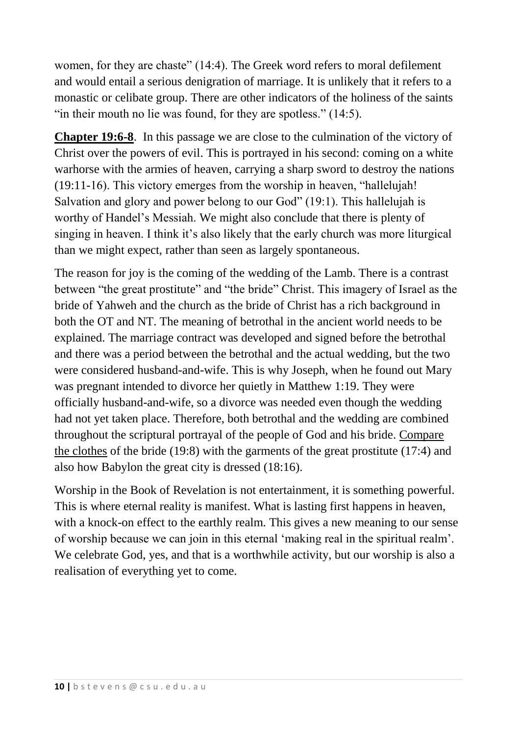women, for they are chaste" (14:4). The Greek word refers to moral defilement and would entail a serious denigration of marriage. It is unlikely that it refers to a monastic or celibate group. There are other indicators of the holiness of the saints "in their mouth no lie was found, for they are spotless."  $(14:5)$ .

**Chapter 19:6-8**. In this passage we are close to the culmination of the victory of Christ over the powers of evil. This is portrayed in his second: coming on a white warhorse with the armies of heaven, carrying a sharp sword to destroy the nations (19:11-16). This victory emerges from the worship in heaven, "hallelujah! Salvation and glory and power belong to our God" (19:1). This hallelujah is worthy of Handel's Messiah. We might also conclude that there is plenty of singing in heaven. I think it's also likely that the early church was more liturgical than we might expect, rather than seen as largely spontaneous.

The reason for joy is the coming of the wedding of the Lamb. There is a contrast between "the great prostitute" and "the bride" Christ. This imagery of Israel as the bride of Yahweh and the church as the bride of Christ has a rich background in both the OT and NT. The meaning of betrothal in the ancient world needs to be explained. The marriage contract was developed and signed before the betrothal and there was a period between the betrothal and the actual wedding, but the two were considered husband-and-wife. This is why Joseph, when he found out Mary was pregnant intended to divorce her quietly in Matthew 1:19. They were officially husband-and-wife, so a divorce was needed even though the wedding had not yet taken place. Therefore, both betrothal and the wedding are combined throughout the scriptural portrayal of the people of God and his bride. Compare the clothes of the bride (19:8) with the garments of the great prostitute (17:4) and also how Babylon the great city is dressed (18:16).

Worship in the Book of Revelation is not entertainment, it is something powerful. This is where eternal reality is manifest. What is lasting first happens in heaven, with a knock-on effect to the earthly realm. This gives a new meaning to our sense of worship because we can join in this eternal 'making real in the spiritual realm'. We celebrate God, yes, and that is a worthwhile activity, but our worship is also a realisation of everything yet to come.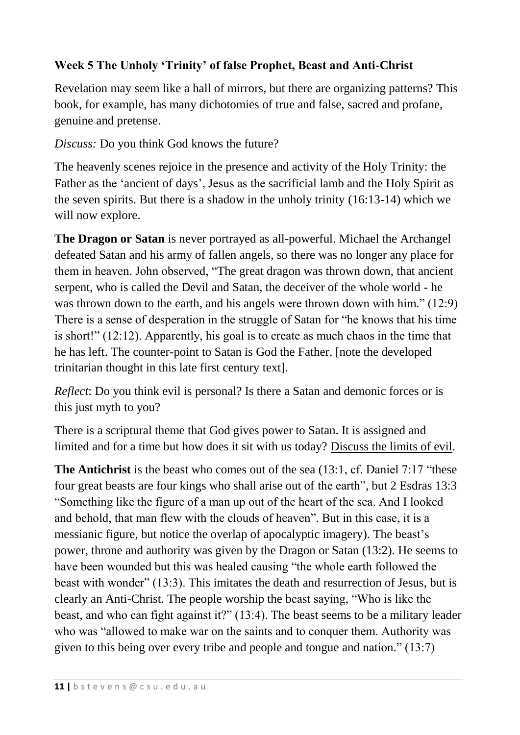# **Week 5 The Unholy 'Trinity' of false Prophet, Beast and Anti-Christ**

Revelation may seem like a hall of mirrors, but there are organizing patterns? This book, for example, has many dichotomies of true and false, sacred and profane, genuine and pretense.

*Discuss:* Do you think God knows the future?

The heavenly scenes rejoice in the presence and activity of the Holy Trinity: the Father as the 'ancient of days', Jesus as the sacrificial lamb and the Holy Spirit as the seven spirits. But there is a shadow in the unholy trinity (16:13-14) which we will now explore.

**The Dragon or Satan** is never portrayed as all-powerful. Michael the Archangel defeated Satan and his army of fallen angels, so there was no longer any place for them in heaven. John observed, "The great dragon was thrown down, that ancient serpent, who is called the Devil and Satan, the deceiver of the whole world - he was thrown down to the earth, and his angels were thrown down with him." (12:9) There is a sense of desperation in the struggle of Satan for "he knows that his time is short!" (12:12). Apparently, his goal is to create as much chaos in the time that he has left. The counter-point to Satan is God the Father. [note the developed trinitarian thought in this late first century text].

*Reflect*: Do you think evil is personal? Is there a Satan and demonic forces or is this just myth to you?

There is a scriptural theme that God gives power to Satan. It is assigned and limited and for a time but how does it sit with us today? Discuss the limits of evil.

**The Antichrist** is the beast who comes out of the sea (13:1, cf. Daniel 7:17 "these four great beasts are four kings who shall arise out of the earth", but 2 Esdras 13:3 "Something like the figure of a man up out of the heart of the sea. And I looked and behold, that man flew with the clouds of heaven". But in this case, it is a messianic figure, but notice the overlap of apocalyptic imagery). The beast's power, throne and authority was given by the Dragon or Satan (13:2). He seems to have been wounded but this was healed causing "the whole earth followed the beast with wonder" (13:3). This imitates the death and resurrection of Jesus, but is clearly an Anti-Christ. The people worship the beast saying, "Who is like the beast, and who can fight against it?" (13:4). The beast seems to be a military leader who was "allowed to make war on the saints and to conquer them. Authority was given to this being over every tribe and people and tongue and nation." (13:7)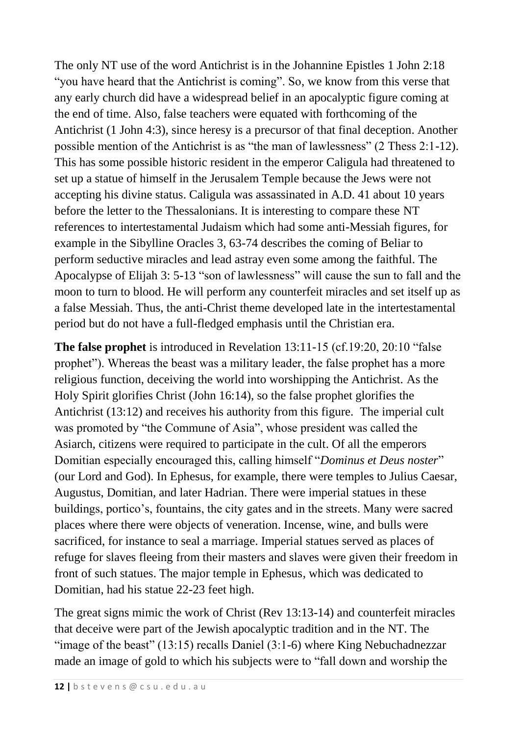The only NT use of the word Antichrist is in the Johannine Epistles 1 John 2:18 "you have heard that the Antichrist is coming". So, we know from this verse that any early church did have a widespread belief in an apocalyptic figure coming at the end of time. Also, false teachers were equated with forthcoming of the Antichrist (1 John 4:3), since heresy is a precursor of that final deception. Another possible mention of the Antichrist is as "the man of lawlessness" (2 Thess 2:1-12). This has some possible historic resident in the emperor Caligula had threatened to set up a statue of himself in the Jerusalem Temple because the Jews were not accepting his divine status. Caligula was assassinated in A.D. 41 about 10 years before the letter to the Thessalonians. It is interesting to compare these NT references to intertestamental Judaism which had some anti-Messiah figures, for example in the Sibylline Oracles 3, 63-74 describes the coming of Beliar to perform seductive miracles and lead astray even some among the faithful. The Apocalypse of Elijah 3: 5-13 "son of lawlessness" will cause the sun to fall and the moon to turn to blood. He will perform any counterfeit miracles and set itself up as a false Messiah. Thus, the anti-Christ theme developed late in the intertestamental period but do not have a full-fledged emphasis until the Christian era.

**The false prophet** is introduced in Revelation 13:11-15 (cf.19:20, 20:10 "false prophet"). Whereas the beast was a military leader, the false prophet has a more religious function, deceiving the world into worshipping the Antichrist. As the Holy Spirit glorifies Christ (John 16:14), so the false prophet glorifies the Antichrist (13:12) and receives his authority from this figure. The imperial cult was promoted by "the Commune of Asia", whose president was called the Asiarch, citizens were required to participate in the cult. Of all the emperors Domitian especially encouraged this, calling himself "*Dominus et Deus noster*" (our Lord and God). In Ephesus, for example, there were temples to Julius Caesar, Augustus, Domitian, and later Hadrian. There were imperial statues in these buildings, portico's, fountains, the city gates and in the streets. Many were sacred places where there were objects of veneration. Incense, wine, and bulls were sacrificed, for instance to seal a marriage. Imperial statues served as places of refuge for slaves fleeing from their masters and slaves were given their freedom in front of such statues. The major temple in Ephesus, which was dedicated to Domitian, had his statue 22-23 feet high.

The great signs mimic the work of Christ (Rev 13:13-14) and counterfeit miracles that deceive were part of the Jewish apocalyptic tradition and in the NT. The "image of the beast"  $(13:15)$  recalls Daniel  $(3:1-6)$  where King Nebuchadnezzar made an image of gold to which his subjects were to "fall down and worship the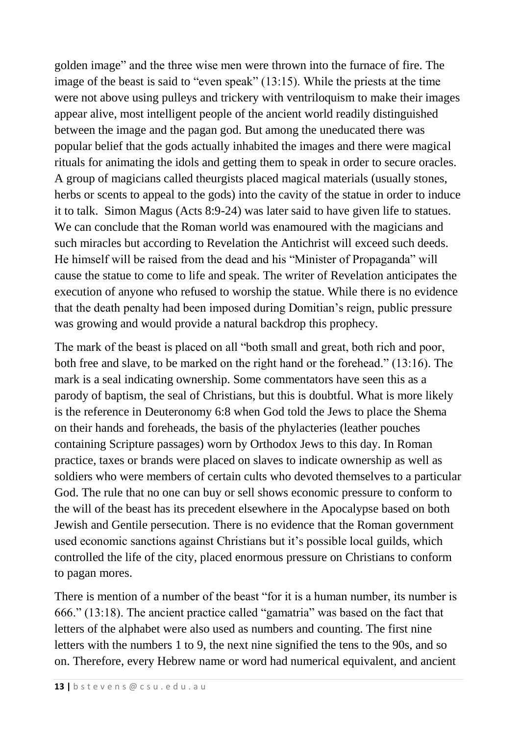golden image" and the three wise men were thrown into the furnace of fire. The image of the beast is said to "even speak" (13:15). While the priests at the time were not above using pulleys and trickery with ventriloquism to make their images appear alive, most intelligent people of the ancient world readily distinguished between the image and the pagan god. But among the uneducated there was popular belief that the gods actually inhabited the images and there were magical rituals for animating the idols and getting them to speak in order to secure oracles. A group of magicians called theurgists placed magical materials (usually stones, herbs or scents to appeal to the gods) into the cavity of the statue in order to induce it to talk. Simon Magus (Acts 8:9-24) was later said to have given life to statues. We can conclude that the Roman world was enamoured with the magicians and such miracles but according to Revelation the Antichrist will exceed such deeds. He himself will be raised from the dead and his "Minister of Propaganda" will cause the statue to come to life and speak. The writer of Revelation anticipates the execution of anyone who refused to worship the statue. While there is no evidence that the death penalty had been imposed during Domitian's reign, public pressure was growing and would provide a natural backdrop this prophecy.

The mark of the beast is placed on all "both small and great, both rich and poor, both free and slave, to be marked on the right hand or the forehead." (13:16). The mark is a seal indicating ownership. Some commentators have seen this as a parody of baptism, the seal of Christians, but this is doubtful. What is more likely is the reference in Deuteronomy 6:8 when God told the Jews to place the Shema on their hands and foreheads, the basis of the phylacteries (leather pouches containing Scripture passages) worn by Orthodox Jews to this day. In Roman practice, taxes or brands were placed on slaves to indicate ownership as well as soldiers who were members of certain cults who devoted themselves to a particular God. The rule that no one can buy or sell shows economic pressure to conform to the will of the beast has its precedent elsewhere in the Apocalypse based on both Jewish and Gentile persecution. There is no evidence that the Roman government used economic sanctions against Christians but it's possible local guilds, which controlled the life of the city, placed enormous pressure on Christians to conform to pagan mores.

There is mention of a number of the beast "for it is a human number, its number is 666." (13:18). The ancient practice called "gamatria" was based on the fact that letters of the alphabet were also used as numbers and counting. The first nine letters with the numbers 1 to 9, the next nine signified the tens to the 90s, and so on. Therefore, every Hebrew name or word had numerical equivalent, and ancient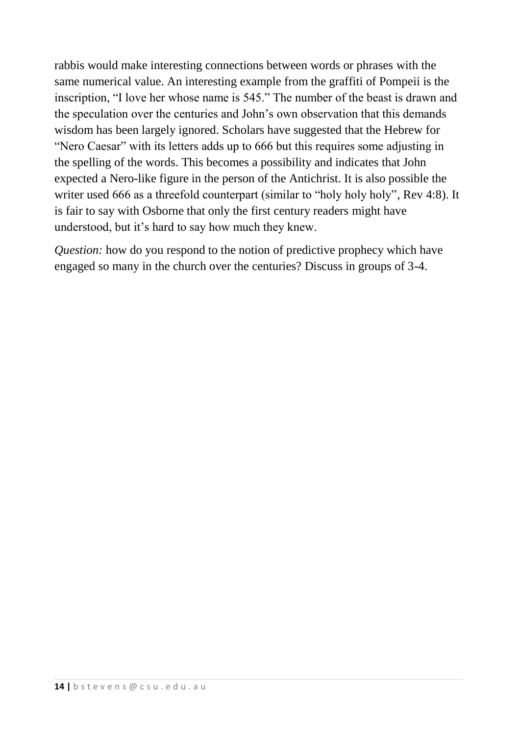rabbis would make interesting connections between words or phrases with the same numerical value. An interesting example from the graffiti of Pompeii is the inscription, "I love her whose name is 545." The number of the beast is drawn and the speculation over the centuries and John's own observation that this demands wisdom has been largely ignored. Scholars have suggested that the Hebrew for "Nero Caesar" with its letters adds up to 666 but this requires some adjusting in the spelling of the words. This becomes a possibility and indicates that John expected a Nero-like figure in the person of the Antichrist. It is also possible the writer used 666 as a threefold counterpart (similar to "holy holy holy", Rev 4:8). It is fair to say with Osborne that only the first century readers might have understood, but it's hard to say how much they knew.

*Question:* how do you respond to the notion of predictive prophecy which have engaged so many in the church over the centuries? Discuss in groups of 3-4.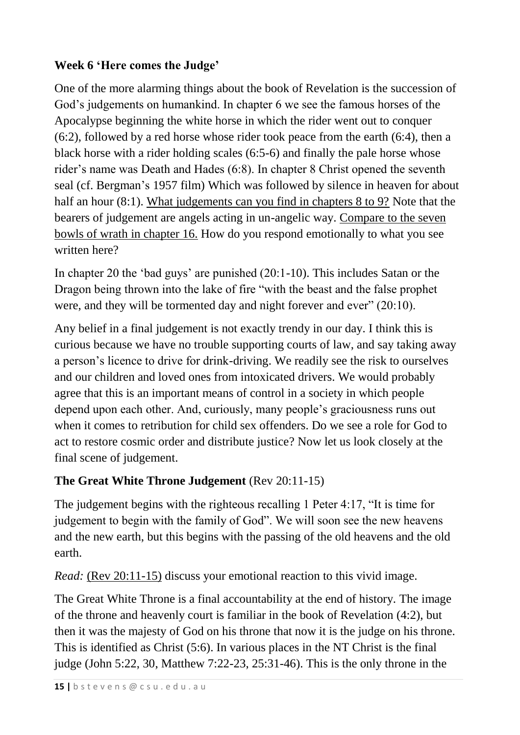# **Week 6 'Here comes the Judge'**

One of the more alarming things about the book of Revelation is the succession of God's judgements on humankind. In chapter 6 we see the famous horses of the Apocalypse beginning the white horse in which the rider went out to conquer (6:2), followed by a red horse whose rider took peace from the earth (6:4), then a black horse with a rider holding scales (6:5-6) and finally the pale horse whose rider's name was Death and Hades (6:8). In chapter 8 Christ opened the seventh seal (cf. Bergman's 1957 film) Which was followed by silence in heaven for about half an hour (8:1). What judgements can you find in chapters 8 to 9? Note that the bearers of judgement are angels acting in un-angelic way. Compare to the seven bowls of wrath in chapter 16. How do you respond emotionally to what you see written here?

In chapter 20 the 'bad guys' are punished (20:1-10). This includes Satan or the Dragon being thrown into the lake of fire "with the beast and the false prophet were, and they will be tormented day and night forever and ever" (20:10).

Any belief in a final judgement is not exactly trendy in our day. I think this is curious because we have no trouble supporting courts of law, and say taking away a person's licence to drive for drink-driving. We readily see the risk to ourselves and our children and loved ones from intoxicated drivers. We would probably agree that this is an important means of control in a society in which people depend upon each other. And, curiously, many people's graciousness runs out when it comes to retribution for child sex offenders. Do we see a role for God to act to restore cosmic order and distribute justice? Now let us look closely at the final scene of judgement.

## **The Great White Throne Judgement** (Rev 20:11-15)

The judgement begins with the righteous recalling 1 Peter 4:17, "It is time for judgement to begin with the family of God". We will soon see the new heavens and the new earth, but this begins with the passing of the old heavens and the old earth.

*Read:* (Rev 20:11-15) discuss your emotional reaction to this vivid image.

The Great White Throne is a final accountability at the end of history. The image of the throne and heavenly court is familiar in the book of Revelation (4:2), but then it was the majesty of God on his throne that now it is the judge on his throne. This is identified as Christ (5:6). In various places in the NT Christ is the final judge (John 5:22, 30, Matthew 7:22-23, 25:31-46). This is the only throne in the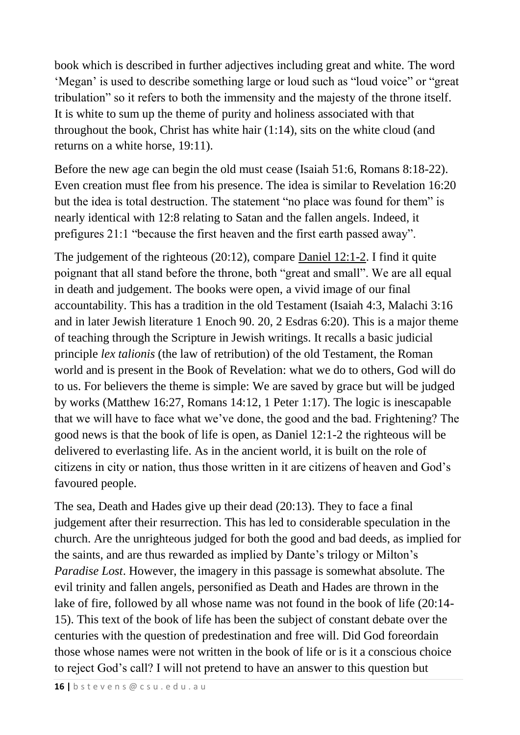book which is described in further adjectives including great and white. The word 'Megan' is used to describe something large or loud such as "loud voice" or "great tribulation" so it refers to both the immensity and the majesty of the throne itself. It is white to sum up the theme of purity and holiness associated with that throughout the book, Christ has white hair (1:14), sits on the white cloud (and returns on a white horse, 19:11).

Before the new age can begin the old must cease (Isaiah 51:6, Romans 8:18-22). Even creation must flee from his presence. The idea is similar to Revelation 16:20 but the idea is total destruction. The statement "no place was found for them" is nearly identical with 12:8 relating to Satan and the fallen angels. Indeed, it prefigures 21:1 "because the first heaven and the first earth passed away".

The judgement of the righteous (20:12), compare Daniel 12:1-2. I find it quite poignant that all stand before the throne, both "great and small". We are all equal in death and judgement. The books were open, a vivid image of our final accountability. This has a tradition in the old Testament (Isaiah 4:3, Malachi 3:16 and in later Jewish literature 1 Enoch 90. 20, 2 Esdras 6:20). This is a major theme of teaching through the Scripture in Jewish writings. It recalls a basic judicial principle *lex talionis* (the law of retribution) of the old Testament, the Roman world and is present in the Book of Revelation: what we do to others, God will do to us. For believers the theme is simple: We are saved by grace but will be judged by works (Matthew 16:27, Romans 14:12, 1 Peter 1:17). The logic is inescapable that we will have to face what we've done, the good and the bad. Frightening? The good news is that the book of life is open, as Daniel 12:1-2 the righteous will be delivered to everlasting life. As in the ancient world, it is built on the role of citizens in city or nation, thus those written in it are citizens of heaven and God's favoured people.

The sea, Death and Hades give up their dead (20:13). They to face a final judgement after their resurrection. This has led to considerable speculation in the church. Are the unrighteous judged for both the good and bad deeds, as implied for the saints, and are thus rewarded as implied by Dante's trilogy or Milton's *Paradise Lost*. However, the imagery in this passage is somewhat absolute. The evil trinity and fallen angels, personified as Death and Hades are thrown in the lake of fire, followed by all whose name was not found in the book of life (20:14- 15). This text of the book of life has been the subject of constant debate over the centuries with the question of predestination and free will. Did God foreordain those whose names were not written in the book of life or is it a conscious choice to reject God's call? I will not pretend to have an answer to this question but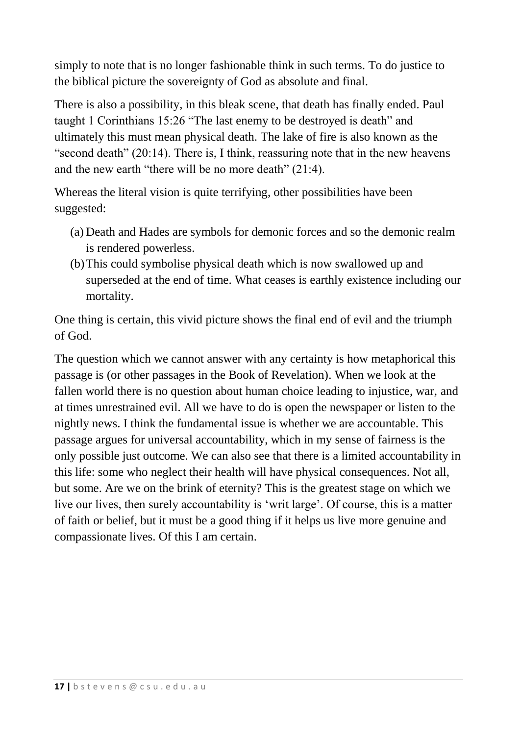simply to note that is no longer fashionable think in such terms. To do justice to the biblical picture the sovereignty of God as absolute and final.

There is also a possibility, in this bleak scene, that death has finally ended. Paul taught 1 Corinthians 15:26 "The last enemy to be destroyed is death" and ultimately this must mean physical death. The lake of fire is also known as the "second death" (20:14). There is, I think, reassuring note that in the new heavens and the new earth "there will be no more death" (21:4).

Whereas the literal vision is quite terrifying, other possibilities have been suggested:

- (a) Death and Hades are symbols for demonic forces and so the demonic realm is rendered powerless.
- (b)This could symbolise physical death which is now swallowed up and superseded at the end of time. What ceases is earthly existence including our mortality.

One thing is certain, this vivid picture shows the final end of evil and the triumph of God.

The question which we cannot answer with any certainty is how metaphorical this passage is (or other passages in the Book of Revelation). When we look at the fallen world there is no question about human choice leading to injustice, war, and at times unrestrained evil. All we have to do is open the newspaper or listen to the nightly news. I think the fundamental issue is whether we are accountable. This passage argues for universal accountability, which in my sense of fairness is the only possible just outcome. We can also see that there is a limited accountability in this life: some who neglect their health will have physical consequences. Not all, but some. Are we on the brink of eternity? This is the greatest stage on which we live our lives, then surely accountability is 'writ large'. Of course, this is a matter of faith or belief, but it must be a good thing if it helps us live more genuine and compassionate lives. Of this I am certain.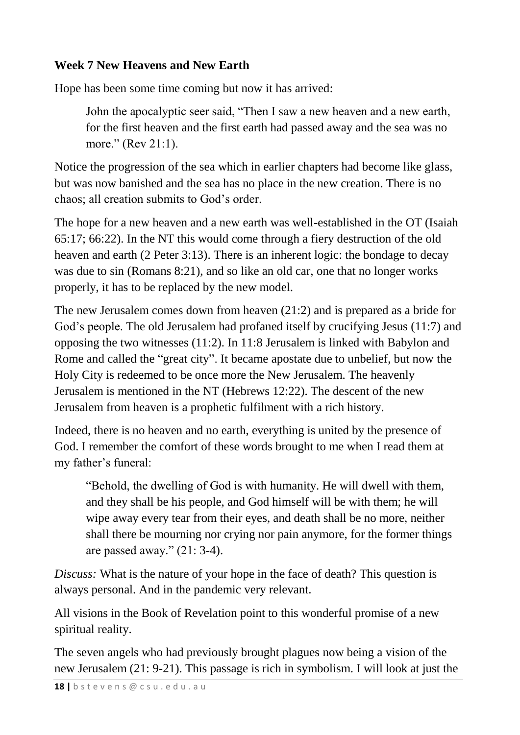### **Week 7 New Heavens and New Earth**

Hope has been some time coming but now it has arrived:

John the apocalyptic seer said, "Then I saw a new heaven and a new earth, for the first heaven and the first earth had passed away and the sea was no more." (Rev 21:1).

Notice the progression of the sea which in earlier chapters had become like glass, but was now banished and the sea has no place in the new creation. There is no chaos; all creation submits to God's order.

The hope for a new heaven and a new earth was well-established in the OT (Isaiah 65:17; 66:22). In the NT this would come through a fiery destruction of the old heaven and earth (2 Peter 3:13). There is an inherent logic: the bondage to decay was due to sin (Romans 8:21), and so like an old car, one that no longer works properly, it has to be replaced by the new model.

The new Jerusalem comes down from heaven (21:2) and is prepared as a bride for God's people. The old Jerusalem had profaned itself by crucifying Jesus (11:7) and opposing the two witnesses (11:2). In 11:8 Jerusalem is linked with Babylon and Rome and called the "great city". It became apostate due to unbelief, but now the Holy City is redeemed to be once more the New Jerusalem. The heavenly Jerusalem is mentioned in the NT (Hebrews 12:22). The descent of the new Jerusalem from heaven is a prophetic fulfilment with a rich history.

Indeed, there is no heaven and no earth, everything is united by the presence of God. I remember the comfort of these words brought to me when I read them at my father's funeral:

"Behold, the dwelling of God is with humanity. He will dwell with them, and they shall be his people, and God himself will be with them; he will wipe away every tear from their eyes, and death shall be no more, neither shall there be mourning nor crying nor pain anymore, for the former things are passed away." (21: 3-4).

*Discuss:* What is the nature of your hope in the face of death? This question is always personal. And in the pandemic very relevant.

All visions in the Book of Revelation point to this wonderful promise of a new spiritual reality.

The seven angels who had previously brought plagues now being a vision of the new Jerusalem (21: 9-21). This passage is rich in symbolism. I will look at just the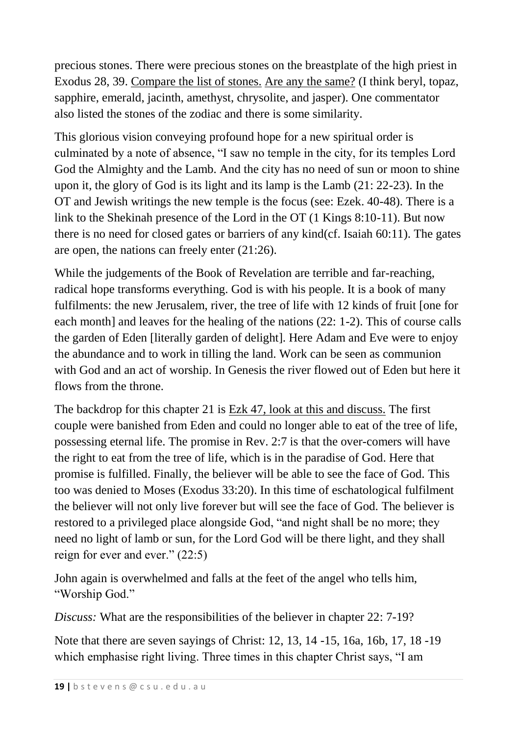precious stones. There were precious stones on the breastplate of the high priest in Exodus 28, 39. Compare the list of stones. Are any the same? (I think beryl, topaz, sapphire, emerald, jacinth, amethyst, chrysolite, and jasper). One commentator also listed the stones of the zodiac and there is some similarity.

This glorious vision conveying profound hope for a new spiritual order is culminated by a note of absence, "I saw no temple in the city, for its temples Lord God the Almighty and the Lamb. And the city has no need of sun or moon to shine upon it, the glory of God is its light and its lamp is the Lamb (21: 22-23). In the OT and Jewish writings the new temple is the focus (see: Ezek. 40-48). There is a link to the Shekinah presence of the Lord in the OT (1 Kings 8:10-11). But now there is no need for closed gates or barriers of any kind(cf. Isaiah 60:11). The gates are open, the nations can freely enter (21:26).

While the judgements of the Book of Revelation are terrible and far-reaching, radical hope transforms everything. God is with his people. It is a book of many fulfilments: the new Jerusalem, river, the tree of life with 12 kinds of fruit [one for each month] and leaves for the healing of the nations (22: 1-2). This of course calls the garden of Eden [literally garden of delight]. Here Adam and Eve were to enjoy the abundance and to work in tilling the land. Work can be seen as communion with God and an act of worship. In Genesis the river flowed out of Eden but here it flows from the throne.

The backdrop for this chapter 21 is Ezk 47, look at this and discuss. The first couple were banished from Eden and could no longer able to eat of the tree of life, possessing eternal life. The promise in Rev. 2:7 is that the over-comers will have the right to eat from the tree of life, which is in the paradise of God. Here that promise is fulfilled. Finally, the believer will be able to see the face of God. This too was denied to Moses (Exodus 33:20). In this time of eschatological fulfilment the believer will not only live forever but will see the face of God. The believer is restored to a privileged place alongside God, "and night shall be no more; they need no light of lamb or sun, for the Lord God will be there light, and they shall reign for ever and ever." (22:5)

John again is overwhelmed and falls at the feet of the angel who tells him, "Worship God."

*Discuss:* What are the responsibilities of the believer in chapter 22: 7-19?

Note that there are seven sayings of Christ: 12, 13, 14 -15, 16a, 16b, 17, 18 -19 which emphasise right living. Three times in this chapter Christ says, "I am